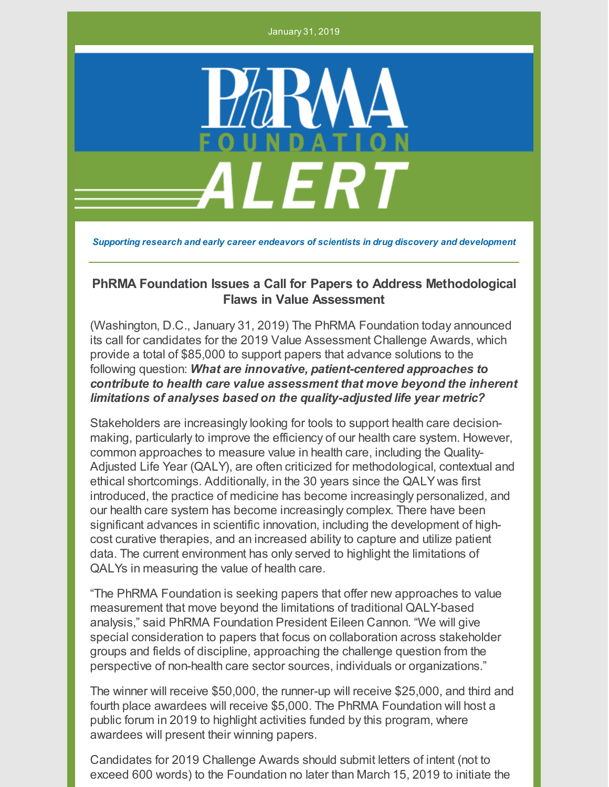January 31, 2019



*Supporting research and early career endeavors of scientists in drug discovery and development*

## **PhRMA Foundation Issues a Call for Papers to Address Methodological Flaws in Value Assessment**

(Washington, D.C., January 31, 2019) The PhRMA Foundation today announced its call for candidates for the 2019 Value Assessment Challenge Awards, which provide a total of \$85,000 to support papers that advance solutions to the following question: *What are innovative, patient-centered approaches to contribute to health care value assessment that move beyond the inherent limitations of analyses based on the quality-adjusted life year metric?*

Stakeholders are increasingly looking for tools to support health care decisionmaking, particularly to improve the efficiency of our health care system. However, common approaches to measure value in health care, including the Quality-Adjusted Life Year (QALY), are often criticized for methodological, contextual and ethical shortcomings. Additionally, in the 30 years since the QALY was first introduced, the practice of medicine has become increasingly personalized, and our health care system has become increasingly complex. There have been significant advances in scientific innovation, including the development of highcost curative therapies, and an increased ability to capture and utilize patient data. The current environment has only served to highlight the limitations of QALYs in measuring the value of health care.

"The PhRMA Foundation is seeking papers that offer new approaches to value measurement that move beyond the limitations of traditional QALY-based analysis," said PhRMA Foundation President Eileen Cannon. "We will give special consideration to papers that focus on collaboration across stakeholder groups and fields of discipline, approaching the challenge question from the perspective of non-health care sector sources, individuals or organizations."

The winner will receive \$50,000, the runner-up will receive \$25,000, and third and fourth place awardees will receive \$5,000. The PhRMA Foundation will host a public forum in 2019 to highlight activities funded by this program, where awardees will present their winning papers.

Candidates for 2019 Challenge Awards should submit letters of intent (not to exceed 600 words) to the Foundation no later than March 15, 2019 to initiate the